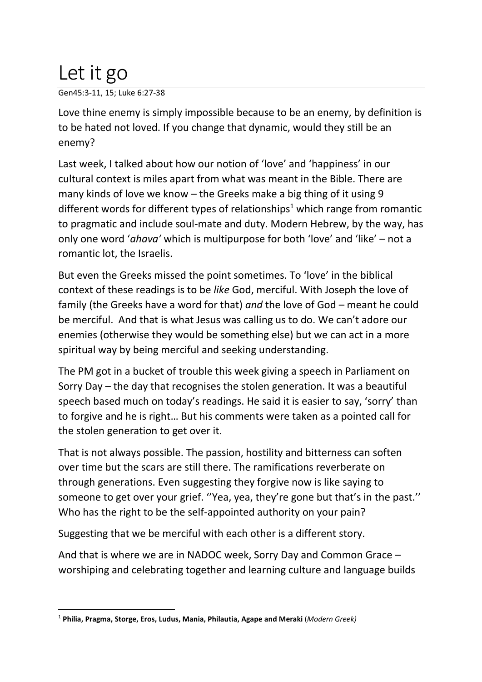## Let it go

Gen45:3-11, 15; Luke 6:27-38

Love thine enemy is simply impossible because to be an enemy, by definition is to be hated not loved. If you change that dynamic, would they still be an enemy?

Last week, I talked about how our notion of 'love' and 'happiness' in our cultural context is miles apart from what was meant in the Bible. There are many kinds of love we know – the Greeks make a big thing of it using 9 different words for different types of relationships<sup>1</sup> which range from romantic to pragmatic and include soul-mate and duty. Modern Hebrew, by the way, has only one word '*ahava'* which is multipurpose for both 'love' and 'like' – not a romantic lot, the Israelis.

But even the Greeks missed the point sometimes. To 'love' in the biblical context of these readings is to be *like* God, merciful. With Joseph the love of family (the Greeks have a word for that) *and* the love of God – meant he could be merciful. And that is what Jesus was calling us to do. We can't adore our enemies (otherwise they would be something else) but we can act in a more spiritual way by being merciful and seeking understanding.

The PM got in a bucket of trouble this week giving a speech in Parliament on Sorry Day – the day that recognises the stolen generation. It was a beautiful speech based much on today's readings. He said it is easier to say, 'sorry' than to forgive and he is right… But his comments were taken as a pointed call for the stolen generation to get over it.

That is not always possible. The passion, hostility and bitterness can soften over time but the scars are still there. The ramifications reverberate on through generations. Even suggesting they forgive now is like saying to someone to get over your grief. ''Yea, yea, they're gone but that's in the past.'' Who has the right to be the self-appointed authority on your pain?

Suggesting that we be merciful with each other is a different story.

And that is where we are in NADOC week, Sorry Day and Common Grace – worshiping and celebrating together and learning culture and language builds

<sup>1</sup> **Philia, Pragma, Storge, Eros, Ludus, Mania, Philautia, Agape and Meraki** (*Modern Greek)*